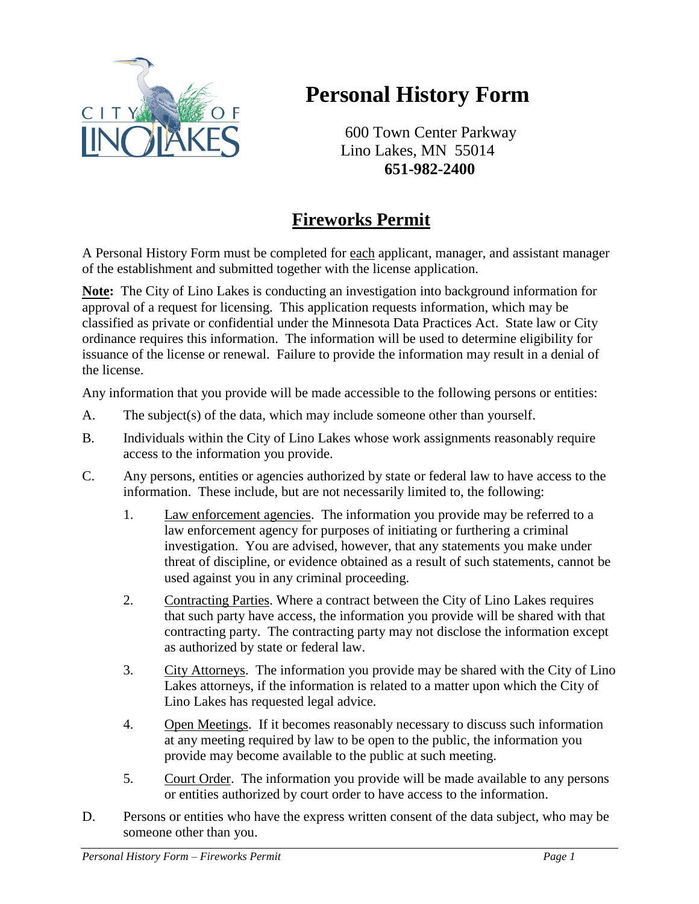

## **Personal History Form**

600 Town Center Parkway Lino Lakes, MN 55014 **651-982-2400**

## **Fireworks Permit**

A Personal History Form must be completed for each applicant, manager, and assistant manager of the establishment and submitted together with the license application.

**Note:** The City of Lino Lakes is conducting an investigation into background information for approval of a request for licensing. This application requests information, which may be classified as private or confidential under the Minnesota Data Practices Act. State law or City ordinance requires this information. The information will be used to determine eligibility for issuance of the license or renewal. Failure to provide the information may result in a denial of the license.

Any information that you provide will be made accessible to the following persons or entities:

- A. The subject(s) of the data, which may include someone other than yourself.
- B. Individuals within the City of Lino Lakes whose work assignments reasonably require access to the information you provide.
- C. Any persons, entities or agencies authorized by state or federal law to have access to the information. These include, but are not necessarily limited to, the following:
	- 1. Law enforcement agencies. The information you provide may be referred to a law enforcement agency for purposes of initiating or furthering a criminal investigation. You are advised, however, that any statements you make under threat of discipline, or evidence obtained as a result of such statements, cannot be used against you in any criminal proceeding.
	- 2. Contracting Parties. Where a contract between the City of Lino Lakes requires that such party have access, the information you provide will be shared with that contracting party. The contracting party may not disclose the information except as authorized by state or federal law.
	- 3. City Attorneys. The information you provide may be shared with the City of Lino Lakes attorneys, if the information is related to a matter upon which the City of Lino Lakes has requested legal advice.
	- 4. Open Meetings. If it becomes reasonably necessary to discuss such information at any meeting required by law to be open to the public, the information you provide may become available to the public at such meeting.
	- 5. Court Order. The information you provide will be made available to any persons or entities authorized by court order to have access to the information.
- D. Persons or entities who have the express written consent of the data subject, who may be someone other than you.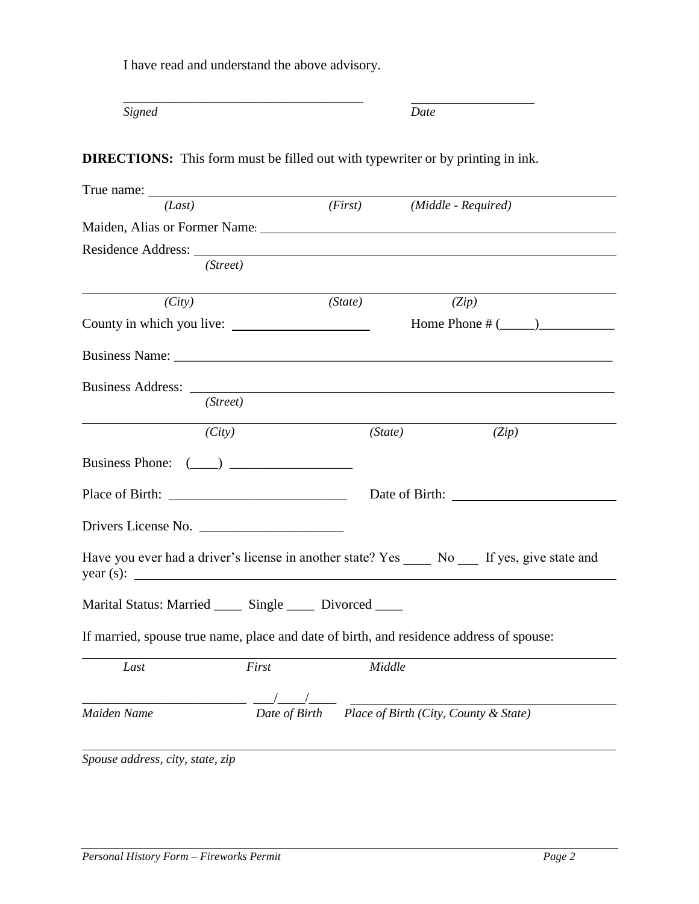I have read and understand the above advisory.

\_\_\_\_\_\_\_\_\_\_\_\_\_\_\_\_\_\_\_\_\_\_\_\_\_\_\_\_\_\_\_\_\_\_\_

*Signed Date*

**DIRECTIONS:** This form must be filled out with typewriter or by printing in ink.

| (Last)                                                                                                                                                                                                                         |          | (First) (Middle - Required) |                                                     |       |  |
|--------------------------------------------------------------------------------------------------------------------------------------------------------------------------------------------------------------------------------|----------|-----------------------------|-----------------------------------------------------|-------|--|
| Maiden, Alias or Former Name: 1988. [19] Maiden, Alias or Former Name: 1988. [19] Maiden, Alias or Former Name: 1988. [19] Main Alias or Former Name: 1988. [19] Main Alias or Former Name: 1988. [19] Main Alias or Former Na |          |                             |                                                     |       |  |
| Residence Address: New York 1988                                                                                                                                                                                               |          |                             |                                                     |       |  |
|                                                                                                                                                                                                                                | (Street) |                             |                                                     |       |  |
| (City)                                                                                                                                                                                                                         |          | (State)                     | (Zip)                                               |       |  |
|                                                                                                                                                                                                                                |          |                             | Home Phone # $(\_\_)$                               |       |  |
|                                                                                                                                                                                                                                |          |                             |                                                     |       |  |
|                                                                                                                                                                                                                                |          |                             |                                                     |       |  |
|                                                                                                                                                                                                                                | (Street) |                             |                                                     |       |  |
|                                                                                                                                                                                                                                | (City)   | (State)                     |                                                     | (Zip) |  |
| Business Phone: $(\_\_)$                                                                                                                                                                                                       |          |                             |                                                     |       |  |
|                                                                                                                                                                                                                                |          |                             |                                                     |       |  |
|                                                                                                                                                                                                                                |          |                             |                                                     |       |  |
| Have you ever had a driver's license in another state? Yes No If yes, give state and                                                                                                                                           |          |                             |                                                     |       |  |
| Marital Status: Married _____ Single _____ Divorced ____                                                                                                                                                                       |          |                             |                                                     |       |  |
| If married, spouse true name, place and date of birth, and residence address of spouse:                                                                                                                                        |          |                             |                                                     |       |  |
| Last                                                                                                                                                                                                                           | First    | Middle                      |                                                     |       |  |
|                                                                                                                                                                                                                                |          |                             |                                                     |       |  |
| Maiden Name                                                                                                                                                                                                                    |          |                             | Date of Birth Place of Birth (City, County & State) |       |  |
| Spouse address, city, state, zip                                                                                                                                                                                               |          |                             |                                                     |       |  |